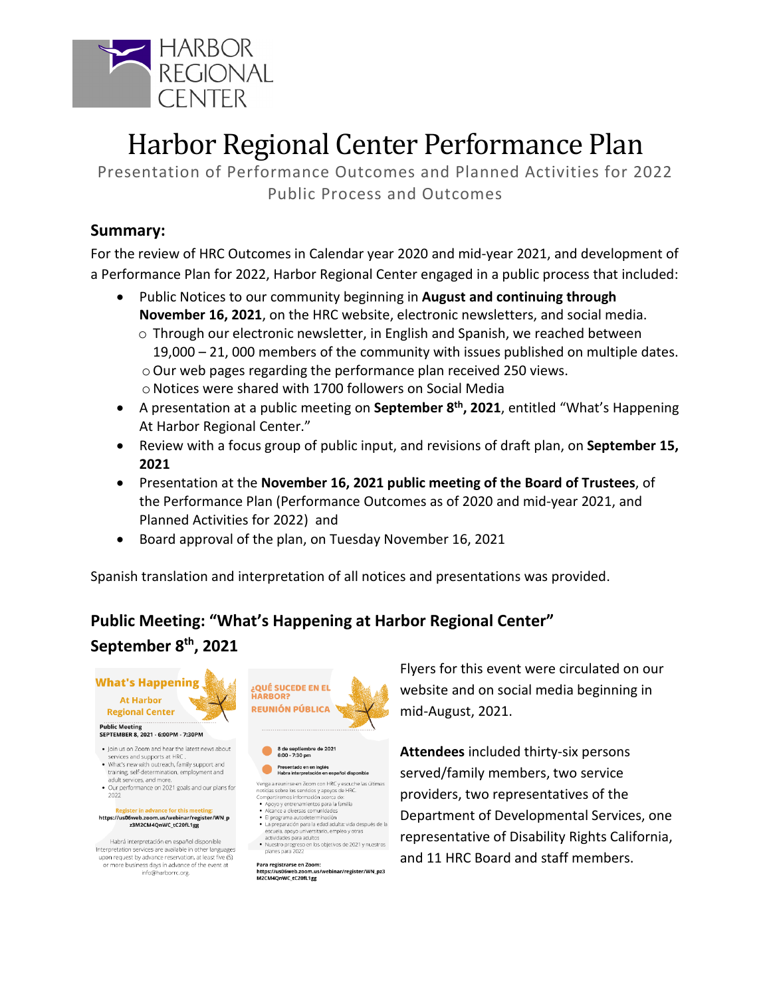

# Harbor Regional Center Performance Plan

Presentation of Performance Outcomes and Planned Activities for 2022 Public Process and Outcomes

#### **Summary:**

For the review of HRC Outcomes in Calendar year 2020 and mid-year 2021, and development of a Performance Plan for 2022, Harbor Regional Center engaged in a public process that included:

- Public Notices to our community beginning in **August and continuing through November 16, 2021**, on the HRC website, electronic newsletters, and social media.
	- $\circ$  Through our electronic newsletter, in English and Spanish, we reached between 19,000 – 21, 000 members of the community with issues published on multiple dates. oOur web pages regarding the performance plan received 250 views. oNotices were shared with 1700 followers on Social Media
- A presentation at a public meeting on **September 8th, 2021**, entitled "What's Happening At Harbor Regional Center."
- Review with a focus group of public input, and revisions of draft plan, on **September 15, 2021**
- Presentation at the **November 16, 2021 public meeting of the Board of Trustees**, of the Performance Plan (Performance Outcomes as of 2020 and mid-year 2021, and Planned Activities for 2022) and
- Board approval of the plan, on Tuesday November 16, 2021

Spanish translation and interpretation of all notices and presentations was provided.

## **Public Meeting: "What's Happening at Harbor Regional Center"**

#### **September 8th, 2021**



- training, self-determination, employment and
- adult services, and more.<br>adult services, and more.<br>Our performance on 2021 goals and our plans for 2022

## Register in advance for this meeting:<br>https://us06web.zoom.us/webinar/register/WN\_p<br>z3M2CM4QnWC\_tC20fL1gg

Habrá interpretación en español disponible Interpretation services are available in other languages<br>upon request by advance reservation, at least five (5) or more business days in advance of the event at info@harborrc.org.



8 de septiembre de 2021<br>6:00 - 7:30 pm  $\bullet$ Presentado en en inglés<br>Habra interpretación en español disp  $\bullet$ 

Venga a reunirse en Zoom con HRC y escuche las últimas<br>noticias sobre los servicios y apoyos de HRC.<br>Compartiremos informadión acerca de:<br> $\bullet$  Apoyo y entrenamientos para la familia<br>• Alcance a diversas comunidades

- 
- 
- El programa autodeterminación<br>• La preparación para la edad adulta: vida después de la escuela, apoyo universitario, empleo y otras
- actividades para adultos . Nuestro progreso en los objetivos de 2021 y nuestros planes para 2022

Para registrarse en Zoom: https://us06web.zoom.us/webinar/register/WN\_pz3 M2CM4QnWC\_tC20fL1gg

Flyers for this event were circulated on our website and on social media beginning in mid-August, 2021.

**Attendees** included thirty-six persons served/family members, two service providers, two representatives of the Department of Developmental Services, one representative of Disability Rights California, and 11 HRC Board and staff members.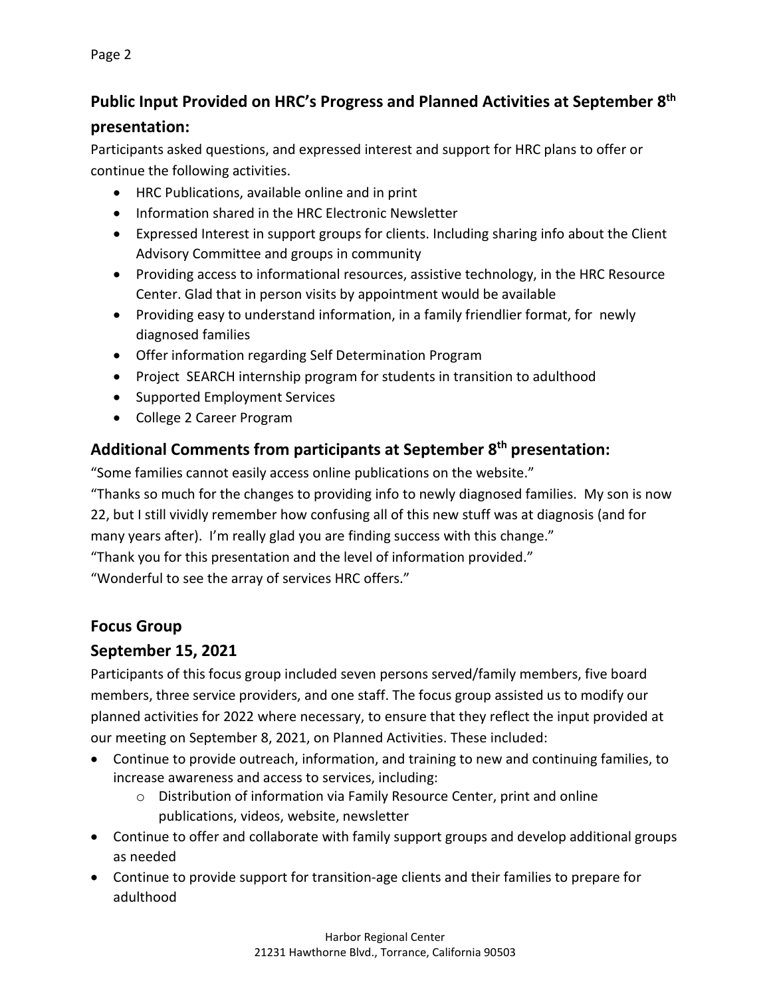### **Public Input Provided on HRC's Progress and Planned Activities at September 8th presentation:**

Participants asked questions, and expressed interest and support for HRC plans to offer or continue the following activities.

- HRC Publications, available online and in print
- Information shared in the HRC Electronic Newsletter
- Expressed Interest in support groups for clients. Including sharing info about the Client Advisory Committee and groups in community
- Providing access to informational resources, assistive technology, in the HRC Resource Center. Glad that in person visits by appointment would be available
- Providing easy to understand information, in a family friendlier format, for newly diagnosed families
- Offer information regarding Self Determination Program
- Project SEARCH internship program for students in transition to adulthood
- Supported Employment Services
- College 2 Career Program

## **Additional Comments from participants at September 8th presentation:**

"Some families cannot easily access online publications on the website."

"Thanks so much for the changes to providing info to newly diagnosed families. My son is now 22, but I still vividly remember how confusing all of this new stuff was at diagnosis (and for many years after). I'm really glad you are finding success with this change." "Thank you for this presentation and the level of information provided."

"Wonderful to see the array of services HRC offers."

#### **Focus Group**

## **September 15, 2021**

Participants of this focus group included seven persons served/family members, five board members, three service providers, and one staff. The focus group assisted us to modify our planned activities for 2022 where necessary, to ensure that they reflect the input provided at our meeting on September 8, 2021, on Planned Activities. These included:

- Continue to provide outreach, information, and training to new and continuing families, to increase awareness and access to services, including:
	- o Distribution of information via Family Resource Center, print and online publications, videos, website, newsletter
- Continue to offer and collaborate with family support groups and develop additional groups as needed
- Continue to provide support for transition-age clients and their families to prepare for adulthood